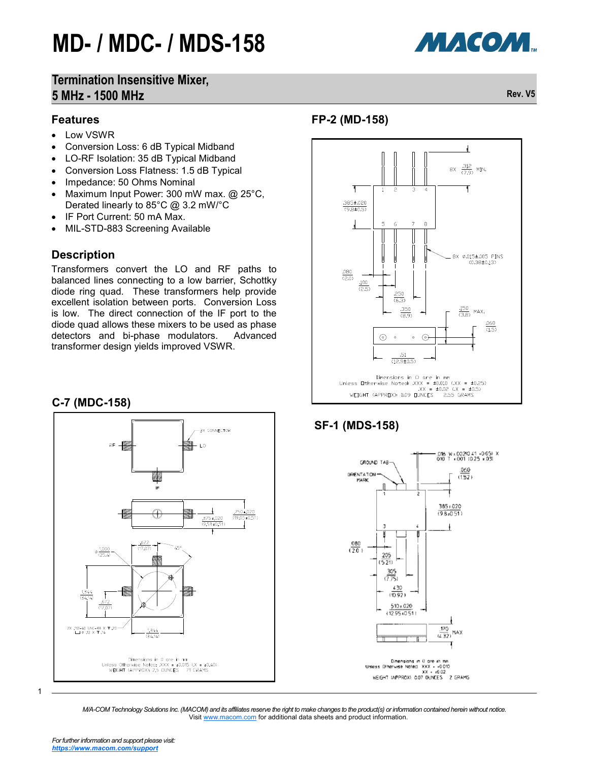### МАСОМ.

### **Termination Insensitive Mixer, 5 MHz - 1500 MHz Rev. V5**

#### **Features**

- Low VSWR
- Conversion Loss: 6 dB Typical Midband
- LO-RF Isolation: 35 dB Typical Midband
- Conversion Loss Flatness: 1.5 dB Typical
- Impedance: 50 Ohms Nominal
- Maximum Input Power: 300 mW max. @ 25°C, Derated linearly to 85°C @ 3.2 mW/°C
- IF Port Current: 50 mA Max.
- MIL-STD-883 Screening Available

#### **Description**

Transformers convert the LO and RF paths to balanced lines connecting to a low barrier, Schottky diode ring quad. These transformers help provide excellent isolation between ports. Conversion Loss is low. The direct connection of the IF port to the diode quad allows these mixers to be used as phase detectors and bi-phase modulators. Advanced transformer design yields improved VSWR.

#### **C-7 (MDC-158)**



### **FP-2 (MD-158)**



### **SF-1 (MDS-158)**



1

*M/A-COM Technology Solutions Inc. (MACOM) and its affiliates reserve the right to make changes to the product(s) or information contained herein without notice.*  Visit [www.macom.com](http://www.macom.com/) for additional data sheets and product information.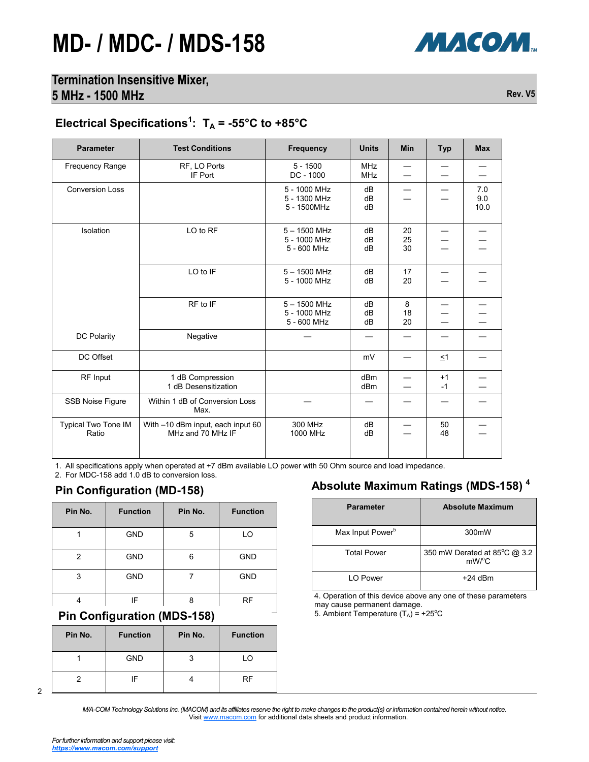

### Electrical Specifications<sup>1</sup>:  $T_A$  = -55°C to +85°C

| <b>Parameter</b>             | <b>Test Conditions</b>                                 | <b>Frequency</b>                              | <b>Units</b>             | <b>Min</b>     | <b>Typ</b>   | <b>Max</b>         |
|------------------------------|--------------------------------------------------------|-----------------------------------------------|--------------------------|----------------|--------------|--------------------|
| <b>Frequency Range</b>       | RF, LO Ports<br>IF Port                                | $5 - 1500$<br>$DC - 1000$                     | <b>MHz</b><br><b>MHz</b> |                |              |                    |
| <b>Conversion Loss</b>       |                                                        | 5 - 1000 MHz<br>5 - 1300 MHz<br>5 - 1500MHz   | dB<br>dB<br>dB           |                |              | 7.0<br>9.0<br>10.0 |
| Isolation                    | LO to RF                                               | $5 - 1500$ MHz<br>5 - 1000 MHz<br>5 - 600 MHz | dB<br>dB<br>dB           | 20<br>25<br>30 |              |                    |
|                              | LO to IF                                               | $5 - 1500$ MHz<br>5 - 1000 MHz                | dB<br>dB                 | 17<br>20       |              |                    |
|                              | RF to IF                                               | $5 - 1500$ MHz<br>5 - 1000 MHz<br>5 - 600 MHz | dB<br>dB<br>dB           | 8<br>18<br>20  |              |                    |
| DC Polarity                  | Negative                                               |                                               |                          |                |              |                    |
| DC Offset                    |                                                        |                                               | mV                       |                | $\leq 1$     |                    |
| RF Input                     | 1 dB Compression<br>1 dB Desensitization               |                                               | dBm<br>dBm               |                | $+1$<br>$-1$ |                    |
| SSB Noise Figure             | Within 1 dB of Conversion Loss<br>Max.                 |                                               |                          |                |              |                    |
| Typical Two Tone IM<br>Ratio | With -10 dBm input, each input 60<br>MHz and 70 MHz IF | 300 MHz<br>1000 MHz                           | dB<br>dB                 |                | 50<br>48     |                    |

1. All specifications apply when operated at +7 dBm available LO power with 50 Ohm source and load impedance.

2. For MDC-158 add 1.0 dB to conversion loss.

#### **Pin Configuration (MD-158)**

| Pin No. | <b>Function</b> | Pin No. | <b>Function</b> |
|---------|-----------------|---------|-----------------|
|         | <b>GND</b>      | 5       | LO              |
| 2       | <b>GND</b>      | 6       | <b>GND</b>      |
| 3       | <b>GND</b>      |         | <b>GND</b>      |
|         | IF              | я       | <b>RF</b>       |

### **Fin Configuration (MDS-158)**

| Pin No. | <b>Function</b> | Pin No. | <b>Function</b> |
|---------|-----------------|---------|-----------------|
|         | <b>GND</b>      |         | LO              |
|         | ΙF              |         | RF              |

#### 2

**Absolute Maximum Ratings (MDS-158) <sup>4</sup>**

| <b>Parameter</b>             | <b>Absolute Maximum</b>                             |
|------------------------------|-----------------------------------------------------|
| Max Input Power <sup>5</sup> | 300mW                                               |
| <b>Total Power</b>           | 350 mW Derated at 85°C @ 3.2<br>$mW$ <sup>o</sup> C |
| I O Power                    | +24 dBm                                             |

4. Operation of this device above any one of these parameters

may cause permanent damage.<br>5. Ambient Temperature  $(T_A) = +25^{\circ}C$ 

*M/A-COM Technology Solutions Inc. (MACOM) and its affiliates reserve the right to make changes to the product(s) or information contained herein without notice.*  Visit [www.macom.com](http://www.macom.com/) for additional data sheets and product information.

МАСОМ.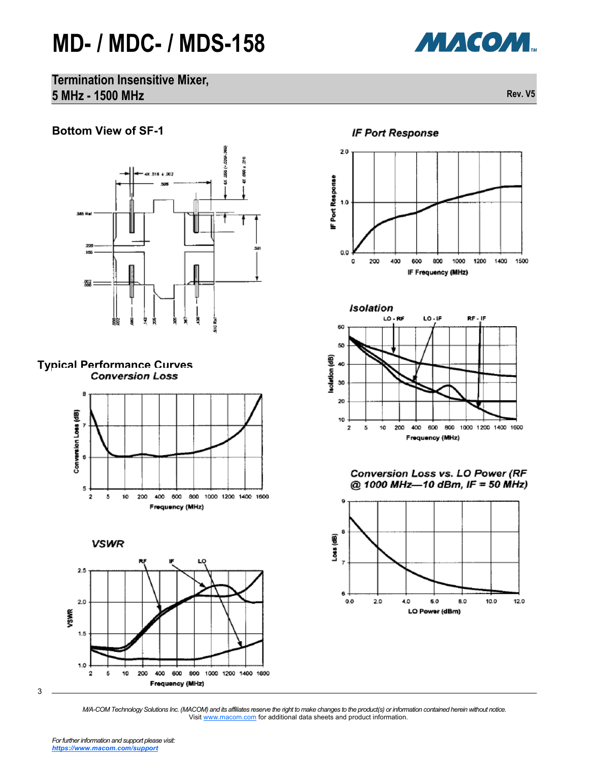

**Termination Insensitive Mixer, 5 MHz - 1500 MHz Rev. V5**

### **Bottom View of SF-1**













800

IF Frequency (MHz)

1000

1200

1400

1500

o

200

400

600



Conversion Loss vs. LO Power (RF @ 1000 MHz-10 dBm, IF = 50 MHz)



*M/A-COM Technology Solutions Inc. (MACOM) and its affiliates reserve the right to make changes to the product(s) or information contained herein without notice.*  Visit [www.macom.com](http://www.macom.com/) for additional data sheets and product information.

3